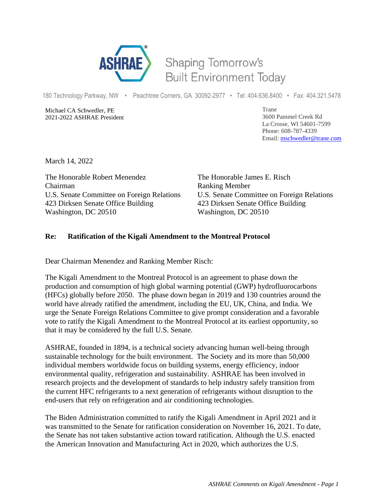

## Shaping Tomorrow's **Built Environment Today**

180 Technology Parkway, NW • Peachtree Corners, GA 30092-2977 • Tel: 404.636.8400 • Fax: 404.321.5478

Michael CA Schwedler, PE 2021-2022 ASHRAE President Trane 3600 Pammel Creek Rd La Crosse, WI 54601-7599 Phone: 608-787-4339 Email: [mschwedler@trane.com](about:blank)

March 14, 2022

The Honorable Robert Menendez The Honorable James E. Risch Chairman Ranking Member 423 Dirksen Senate Office Building 423 Dirksen Senate Office Building Washington, DC 20510 Washington, DC 20510

U.S. Senate Committee on Foreign Relations U.S. Senate Committee on Foreign Relations

## **Re: Ratification of the Kigali Amendment to the Montreal Protocol**

Dear Chairman Menendez and Ranking Member Risch:

The Kigali Amendment to the Montreal Protocol is an agreement to phase down the production and consumption of high global warming potential (GWP) hydrofluorocarbons (HFCs) globally before 2050. The phase down began in 2019 and 130 countries around the world have already ratified the amendment, including the EU, UK, China, and India. We urge the Senate Foreign Relations Committee to give prompt consideration and a favorable vote to ratify the Kigali Amendment to the Montreal Protocol at its earliest opportunity, so that it may be considered by the full U.S. Senate.

ASHRAE, founded in 1894, is a technical society advancing human well-being through sustainable technology for the built environment. The Society and its more than 50,000 individual members worldwide focus on building systems, energy efficiency, indoor environmental quality, refrigeration and sustainability. ASHRAE has been involved in research projects and the development of standards to help industry safely transition from the current HFC refrigerants to a next generation of refrigerants without disruption to the end-users that rely on refrigeration and air conditioning technologies.

The Biden Administration committed to ratify the Kigali Amendment in April 2021 and it was transmitted to the Senate for ratification consideration on November 16, 2021. To date, the Senate has not taken substantive action toward ratification. Although the U.S. enacted the American Innovation and Manufacturing Act in 2020, which authorizes the U.S.